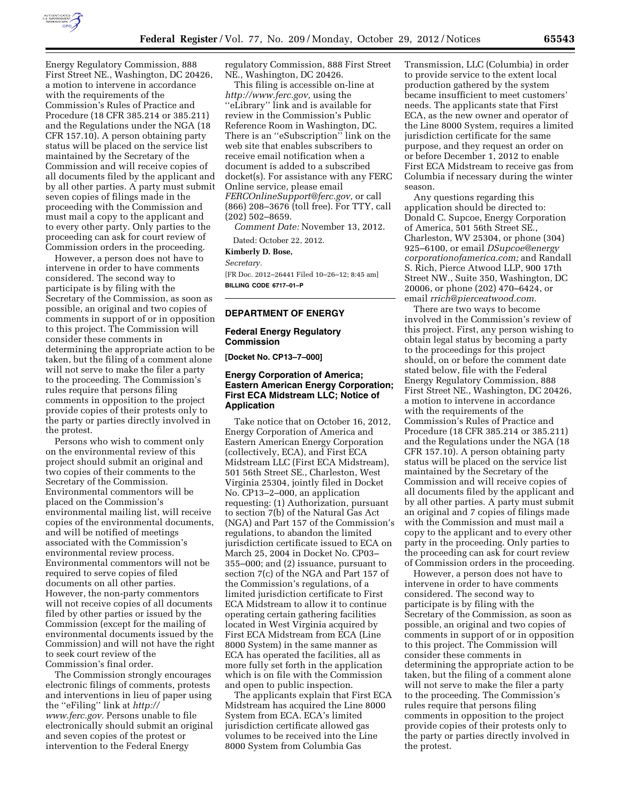

Energy Regulatory Commission, 888 First Street NE., Washington, DC 20426, a motion to intervene in accordance with the requirements of the Commission's Rules of Practice and Procedure (18 CFR 385.214 or 385.211) and the Regulations under the NGA (18 CFR 157.10). A person obtaining party status will be placed on the service list maintained by the Secretary of the Commission and will receive copies of all documents filed by the applicant and by all other parties. A party must submit seven copies of filings made in the proceeding with the Commission and must mail a copy to the applicant and to every other party. Only parties to the proceeding can ask for court review of Commission orders in the proceeding.

However, a person does not have to intervene in order to have comments considered. The second way to participate is by filing with the Secretary of the Commission, as soon as possible, an original and two copies of comments in support of or in opposition to this project. The Commission will consider these comments in determining the appropriate action to be taken, but the filing of a comment alone will not serve to make the filer a party to the proceeding. The Commission's rules require that persons filing comments in opposition to the project provide copies of their protests only to the party or parties directly involved in the protest.

Persons who wish to comment only on the environmental review of this project should submit an original and two copies of their comments to the Secretary of the Commission. Environmental commentors will be placed on the Commission's environmental mailing list, will receive copies of the environmental documents, and will be notified of meetings associated with the Commission's environmental review process. Environmental commentors will not be required to serve copies of filed documents on all other parties. However, the non-party commentors will not receive copies of all documents filed by other parties or issued by the Commission (except for the mailing of environmental documents issued by the Commission) and will not have the right to seek court review of the Commission's final order.

The Commission strongly encourages electronic filings of comments, protests and interventions in lieu of paper using the ''eFiling'' link at *[http://](http://www.ferc.gov) [www.ferc.gov.](http://www.ferc.gov)* Persons unable to file electronically should submit an original and seven copies of the protest or intervention to the Federal Energy

regulatory Commission, 888 First Street NE., Washington, DC 20426.

This filing is accessible on-line at *[http://www.ferc.gov,](http://www.ferc.gov)* using the ''eLibrary'' link and is available for review in the Commission's Public Reference Room in Washington, DC. There is an ''eSubscription'' link on the web site that enables subscribers to receive email notification when a document is added to a subscribed docket(s). For assistance with any FERC Online service, please email *[FERCOnlineSupport@ferc.gov,](mailto:FERCOnlineSupport@ferc.gov)* or call (866) 208–3676 (toll free). For TTY, call (202) 502–8659.

*Comment Date:* November 13, 2012.

Dated: October 22, 2012.

**Kimberly D. Bose,**  *Secretary.* 

[FR Doc. 2012–26441 Filed 10–26–12; 8:45 am] **BILLING CODE 6717–01–P** 

## **DEPARTMENT OF ENERGY**

### **Federal Energy Regulatory Commission**

**[Docket No. CP13–7–000]** 

## **Energy Corporation of America; Eastern American Energy Corporation; First ECA Midstream LLC; Notice of Application**

Take notice that on October 16, 2012, Energy Corporation of America and Eastern American Energy Corporation (collectively, ECA), and First ECA Midstream LLC (First ECA Midstream), 501 56th Street SE., Charleston, West Virginia 25304, jointly filed in Docket No. CP13–2–000, an application requesting: (1) Authorization, pursuant to section 7(b) of the Natural Gas Act (NGA) and Part 157 of the Commission's regulations, to abandon the limited jurisdiction certificate issued to ECA on March 25, 2004 in Docket No. CP03– 355–000; and (2) issuance, pursuant to section 7(c) of the NGA and Part 157 of the Commission's regulations, of a limited jurisdiction certificate to First ECA Midstream to allow it to continue operating certain gathering facilities located in West Virginia acquired by First ECA Midstream from ECA (Line 8000 System) in the same manner as ECA has operated the facilities, all as more fully set forth in the application which is on file with the Commission and open to public inspection.

The applicants explain that First ECA Midstream has acquired the Line 8000 System from ECA. ECA's limited jurisdiction certificate allowed gas volumes to be received into the Line 8000 System from Columbia Gas

Transmission, LLC (Columbia) in order to provide service to the extent local production gathered by the system became insufficient to meet customers' needs. The applicants state that First ECA, as the new owner and operator of the Line 8000 System, requires a limited jurisdiction certificate for the same purpose, and they request an order on or before December 1, 2012 to enable First ECA Midstream to receive gas from Columbia if necessary during the winter season.

Any questions regarding this application should be directed to: Donald C. Supcoe, Energy Corporation of America, 501 56th Street SE., Charleston, WV 25304, or phone (304) 925–6100, or email *[DSupcoe@energy](mailto:DSupcoe@energycorporationofamerica.com) [corporationofamerica.com;](mailto:DSupcoe@energycorporationofamerica.com)* and Randall S. Rich, Pierce Atwood LLP, 900 17th Street NW., Suite 350, Washington, DC 20006, or phone (202) 470–6424, or email *[rrich@pierceatwood.com](mailto:rrich@pierceatwood.com)*.

There are two ways to become involved in the Commission's review of this project. First, any person wishing to obtain legal status by becoming a party to the proceedings for this project should, on or before the comment date stated below, file with the Federal Energy Regulatory Commission, 888 First Street NE., Washington, DC 20426, a motion to intervene in accordance with the requirements of the Commission's Rules of Practice and Procedure (18 CFR 385.214 or 385.211) and the Regulations under the NGA (18 CFR 157.10). A person obtaining party status will be placed on the service list maintained by the Secretary of the Commission and will receive copies of all documents filed by the applicant and by all other parties. A party must submit an original and 7 copies of filings made with the Commission and must mail a copy to the applicant and to every other party in the proceeding. Only parties to the proceeding can ask for court review of Commission orders in the proceeding.

However, a person does not have to intervene in order to have comments considered. The second way to participate is by filing with the Secretary of the Commission, as soon as possible, an original and two copies of comments in support of or in opposition to this project. The Commission will consider these comments in determining the appropriate action to be taken, but the filing of a comment alone will not serve to make the filer a party to the proceeding. The Commission's rules require that persons filing comments in opposition to the project provide copies of their protests only to the party or parties directly involved in the protest.